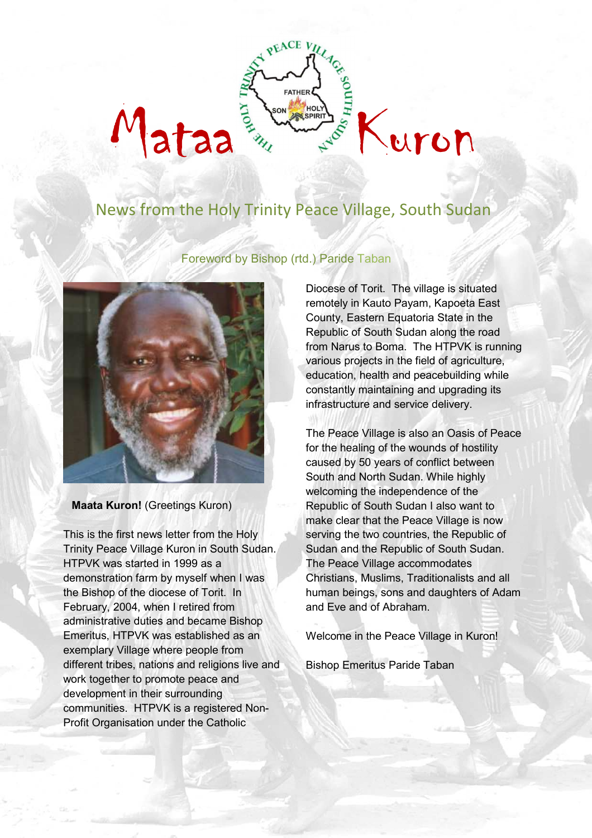# $EACEV$ ataa Kuron Avere Kuron

# News from the Holy Trinity Peace Village, South Sudan



Foreword by Bishop (rtd.) Paride Taban

**Maata Kuron!** (Greetings Kuron)

This is the first news letter from the Holy Trinity Peace Village Kuron in South Sudan. HTPVK was started in 1999 as a demonstration farm by myself when I was the Bishop of the diocese of Torit. In February, 2004, when I retired from administrative duties and became Bishop Emeritus, HTPVK was established as an exemplary Village where people from different tribes, nations and religions live and work together to promote peace and development in their surrounding communities. HTPVK is a registered Non-Profit Organisation under the Catholic

Diocese of Torit. The village is situated remotely in Kauto Payam, Kapoeta East County, Eastern Equatoria State in the Republic of South Sudan along the road from Narus to Boma. The HTPVK is running various projects in the field of agriculture, education, health and peacebuilding while constantly maintaining and upgrading its infrastructure and service delivery.

The Peace Village is also an Oasis of Peace for the healing of the wounds of hostility caused by 50 years of conflict between South and North Sudan. While highly welcoming the independence of the Republic of South Sudan I also want to make clear that the Peace Village is now serving the two countries, the Republic of Sudan and the Republic of South Sudan. The Peace Village accommodates Christians, Muslims, Traditionalists and all human beings, sons and daughters of Adam and Eve and of Abraham.

Welcome in the Peace Village in Kuron!

Bishop Emeritus Paride Taban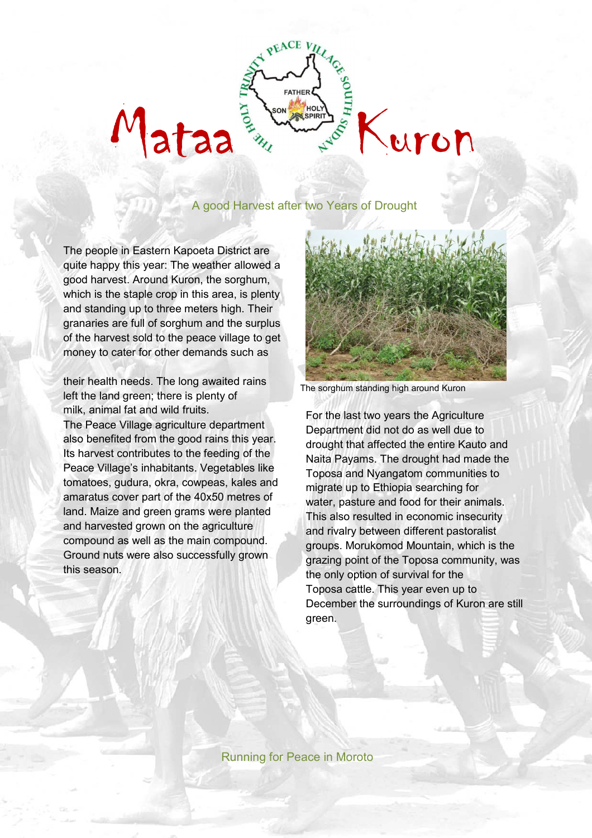## A good Harvest after two Years of Drought

ataa Estatut Avenue Kuron

 $EACEV$ 

The people in Eastern Kapoeta District are quite happy this year: The weather allowed a good harvest. Around Kuron, the sorghum, which is the staple crop in this area, is plenty and standing up to three meters high. Their granaries are full of sorghum and the surplus of the harvest sold to the peace village to get money to cater for other demands such as

their health needs. The long awaited rains left the land green; there is plenty of milk, animal fat and wild fruits.

The Peace Village agriculture department also benefited from the good rains this year. Its harvest contributes to the feeding of the Peace Village's inhabitants. Vegetables like tomatoes, gudura, okra, cowpeas, kales and amaratus cover part of the 40x50 metres of land. Maize and green grams were planted and harvested grown on the agriculture compound as well as the main compound. Ground nuts were also successfully grown this season.



The sorghum standing high around Kuron

For the last two years the Agriculture Department did not do as well due to drought that affected the entire Kauto and Naita Payams. The drought had made the Toposa and Nyangatom communities to migrate up to Ethiopia searching for water, pasture and food for their animals. This also resulted in economic insecurity and rivalry between different pastoralist groups. Morukomod Mountain, which is the grazing point of the Toposa community, was the only option of survival for the Toposa cattle. This year even up to December the surroundings of Kuron are still green.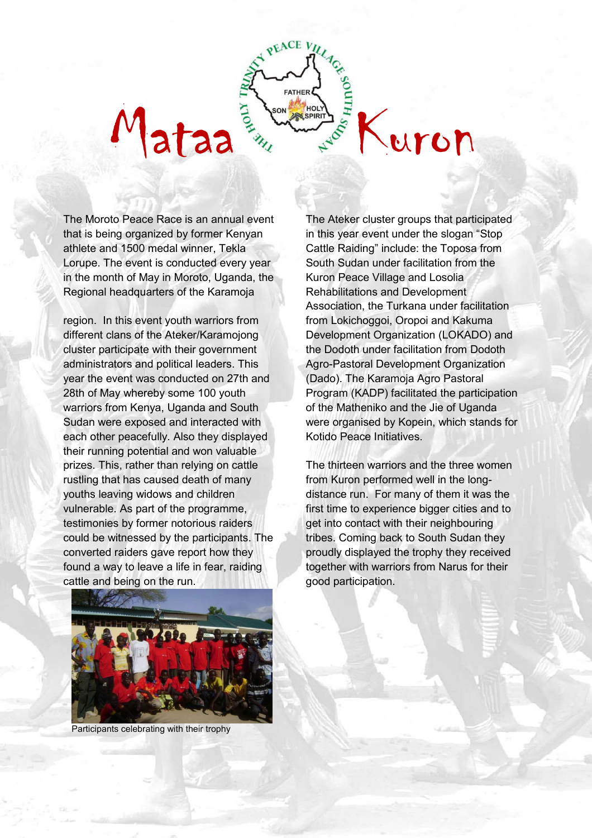The Moroto Peace Race is an annual event that is being organized by former Kenyan athlete and 1500 medal winner, Tekla Lorupe. The event is conducted every year in the month of May in Moroto, Uganda, the Regional headquarters of the Karamoja

region. In this event youth warriors from different clans of the Ateker/Karamojong cluster participate with their government administrators and political leaders. This year the event was conducted on 27th and 28th of May whereby some 100 youth warriors from Kenya, Uganda and South Sudan were exposed and interacted with each other peacefully. Also they displayed their running potential and won valuable prizes. This, rather than relying on cattle rustling that has caused death of many youths leaving widows and children vulnerable. As part of the programme, testimonies by former notorious raiders could be witnessed by the participants. The converted raiders gave report how they found a way to leave a life in fear, raiding cattle and being on the run.

The Ateker cluster groups that participated in this year event under the slogan "Stop Cattle Raiding" include: the Toposa from South Sudan under facilitation from the Kuron Peace Village and Losolia Rehabilitations and Development Association, the Turkana under facilitation from Lokichoggoi, Oropoi and Kakuma Development Organization (LOKADO) and the Dodoth under facilitation from Dodoth Agro-Pastoral Development Organization (Dado). The Karamoja Agro Pastoral Program (KADP) facilitated the participation of the Matheniko and the Jie of Uganda were organised by Kopein, which stands for Kotido Peace Initiatives.

ataa Estimate Report of Mount

 $EACEV$ 

The thirteen warriors and the three women from Kuron performed well in the longdistance run. For many of them it was the first time to experience bigger cities and to get into contact with their neighbouring tribes. Coming back to South Sudan they proudly displayed the trophy they received together with warriors from Narus for their good participation.



Participants celebrating with their trophy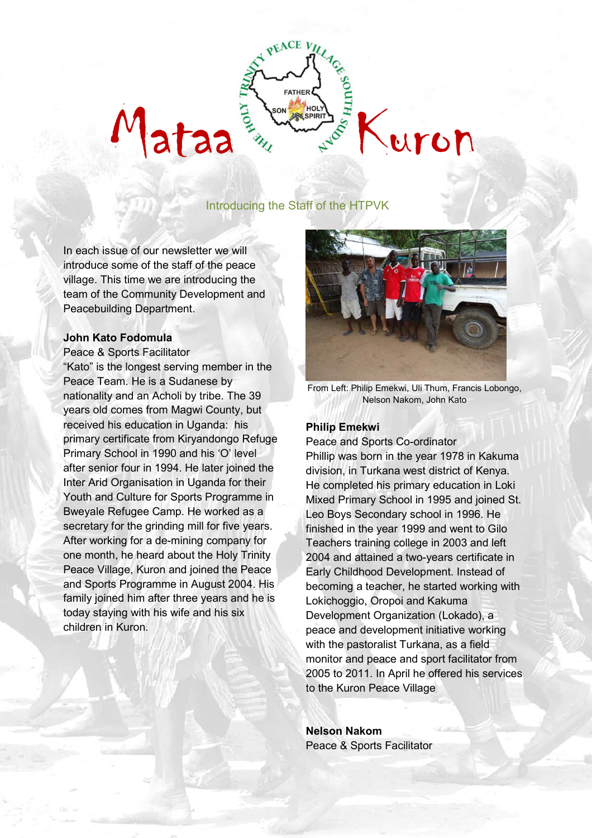# **EACE V HARA REPARTMENT OF STREET AND MATASCRIPTION OF THE REPARTMENT OF THE REPARTMENT OF THE REPARTMENT OF THE REPARTMENT OF THE REPARTMENT OF THE REPARTMENT OF THE REPARTMENT OF THE REPARTMENT OF THE REPARTMENT OF THE REPARTME**

# Introducing the Staff of the HTPVK

In each issue of our newsletter we will introduce some of the staff of the peace village. This time we are introducing the team of the Community Development and Peacebuilding Department.

#### **John Kato Fodomula**

Peace & Sports Facilitator

"Kato" is the longest serving member in the Peace Team. He is a Sudanese by nationality and an Acholi by tribe. The 39 years old comes from Magwi County, but received his education in Uganda: his primary certificate from Kiryandongo Refuge Primary School in 1990 and his 'O' level after senior four in 1994. He later joined the Inter Arid Organisation in Uganda for their Youth and Culture for Sports Programme in Bweyale Refugee Camp. He worked as a secretary for the grinding mill for five years. After working for a de-mining company for one month, he heard about the Holy Trinity Peace Village, Kuron and joined the Peace and Sports Programme in August 2004. His family joined him after three years and he is today staying with his wife and his six children in Kuron.



From Left: Philip Emekwi, Uli Thum, Francis Lobongo, Nelson Nakom, John Kato

#### **Philip Emekwi**

Peace and Sports Co-ordinator Phillip was born in the year 1978 in Kakuma division, in Turkana west district of Kenya. He completed his primary education in Loki Mixed Primary School in 1995 and joined St. Leo Boys Secondary school in 1996. He finished in the year 1999 and went to Gilo Teachers training college in 2003 and left 2004 and attained a two-years certificate in Early Childhood Development. Instead of becoming a teacher, he started working with Lokichoggio, Oropoi and Kakuma Development Organization (Lokado), a peace and development initiative working with the pastoralist Turkana, as a field monitor and peace and sport facilitator from 2005 to 2011. In April he offered his services to the Kuron Peace Village

**Nelson Nakom**  Peace & Sports Facilitator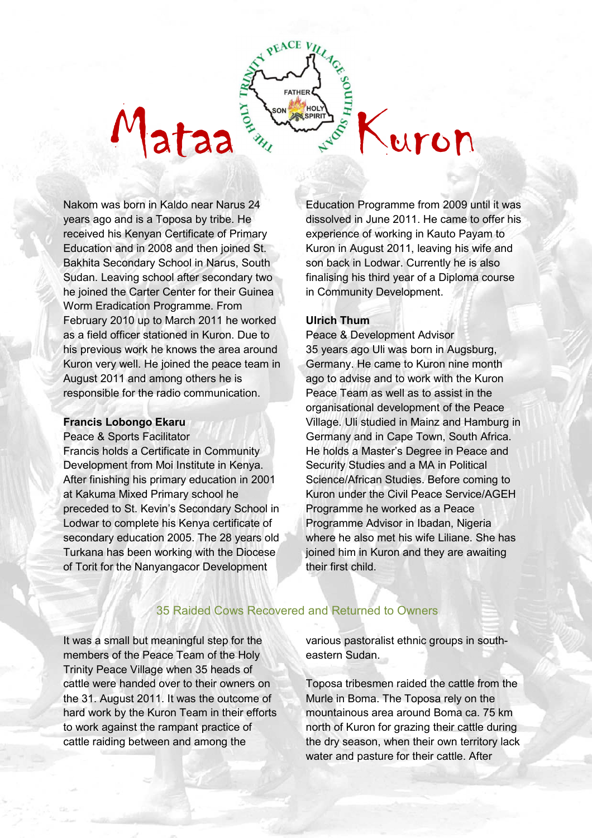Nakom was born in Kaldo near Narus 24 years ago and is a Toposa by tribe. He received his Kenyan Certificate of Primary Education and in 2008 and then joined St. Bakhita Secondary School in Narus, South Sudan. Leaving school after secondary two he joined the Carter Center for their Guinea Worm Eradication Programme. From February 2010 up to March 2011 he worked as a field officer stationed in Kuron. Due to his previous work he knows the area around Kuron very well. He joined the peace team in August 2011 and among others he is responsible for the radio communication.

#### **Francis Lobongo Ekaru**

Peace & Sports Facilitator Francis holds a Certificate in Community Development from Moi Institute in Kenya. After finishing his primary education in 2001 at Kakuma Mixed Primary school he preceded to St. Kevin's Secondary School in Lodwar to complete his Kenya certificate of secondary education 2005. The 28 years old Turkana has been working with the Diocese of Torit for the Nanyangacor Development

Education Programme from 2009 until it was dissolved in June 2011. He came to offer his experience of working in Kauto Payam to Kuron in August 2011, leaving his wife and son back in Lodwar. Currently he is also finalising his third year of a Diploma course in Community Development.

#### **Ulrich Thum**

ataa <sup>Ext</sup>ra Kuron Extra Kuron

 $E$ ACE  $V$ 

Peace & Development Advisor 35 years ago Uli was born in Augsburg, Germany. He came to Kuron nine month ago to advise and to work with the Kuron Peace Team as well as to assist in the organisational development of the Peace Village. Uli studied in Mainz and Hamburg in Germany and in Cape Town, South Africa. He holds a Master's Degree in Peace and Security Studies and a MA in Political Science/African Studies. Before coming to Kuron under the Civil Peace Service/AGEH Programme he worked as a Peace Programme Advisor in Ibadan, Nigeria where he also met his wife Liliane. She has joined him in Kuron and they are awaiting their first child.

## 35 Raided Cows Recovered and Returned to Owners

It was a small but meaningful step for the members of the Peace Team of the Holy Trinity Peace Village when 35 heads of cattle were handed over to their owners on the 31. August 2011. It was the outcome of hard work by the Kuron Team in their efforts to work against the rampant practice of cattle raiding between and among the

various pastoralist ethnic groups in southeastern Sudan.

Toposa tribesmen raided the cattle from the Murle in Boma. The Toposa rely on the mountainous area around Boma ca. 75 km north of Kuron for grazing their cattle during the dry season, when their own territory lack water and pasture for their cattle. After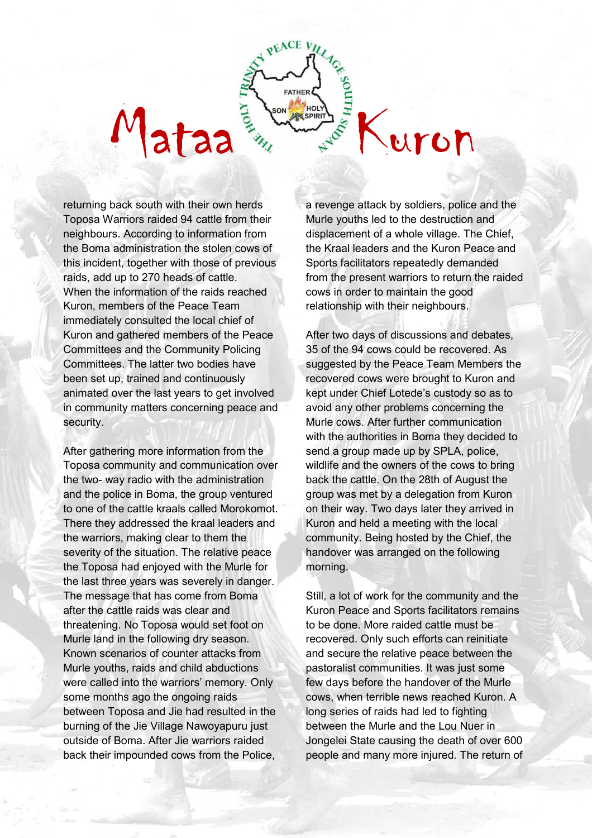returning back south with their own herds Toposa Warriors raided 94 cattle from their neighbours. According to information from the Boma administration the stolen cows of this incident, together with those of previous raids, add up to 270 heads of cattle. When the information of the raids reached Kuron, members of the Peace Team immediately consulted the local chief of Kuron and gathered members of the Peace Committees and the Community Policing Committees. The latter two bodies have been set up, trained and continuously animated over the last years to get involved in community matters concerning peace and security.

After gathering more information from the Toposa community and communication over the two- way radio with the administration and the police in Boma, the group ventured to one of the cattle kraals called Morokomot. There they addressed the kraal leaders and the warriors, making clear to them the severity of the situation. The relative peace the Toposa had enjoyed with the Murle for the last three years was severely in danger. The message that has come from Boma after the cattle raids was clear and threatening. No Toposa would set foot on Murle land in the following dry season. Known scenarios of counter attacks from Murle youths, raids and child abductions were called into the warriors' memory. Only some months ago the ongoing raids between Toposa and Jie had resulted in the burning of the Jie Village Nawoyapuru just outside of Boma. After Jie warriors raided back their impounded cows from the Police,

a revenge attack by soldiers, police and the Murle youths led to the destruction and displacement of a whole village. The Chief, the Kraal leaders and the Kuron Peace and Sports facilitators repeatedly demanded from the present warriors to return the raided cows in order to maintain the good relationship with their neighbours.

**ATAA** FOR THE REAL EXPOSURE

**PEACE VI** 

After two days of discussions and debates, 35 of the 94 cows could be recovered. As suggested by the Peace Team Members the recovered cows were brought to Kuron and kept under Chief Lotede's custody so as to avoid any other problems concerning the Murle cows. After further communication with the authorities in Boma they decided to send a group made up by SPLA, police, wildlife and the owners of the cows to bring back the cattle. On the 28th of August the group was met by a delegation from Kuron on their way. Two days later they arrived in Kuron and held a meeting with the local community. Being hosted by the Chief, the handover was arranged on the following morning.

Still, a lot of work for the community and the Kuron Peace and Sports facilitators remains to be done. More raided cattle must be recovered. Only such efforts can reinitiate and secure the relative peace between the pastoralist communities. It was just some few days before the handover of the Murle cows, when terrible news reached Kuron. A long series of raids had led to fighting between the Murle and the Lou Nuer in Jongelei State causing the death of over 600 people and many more injured. The return of